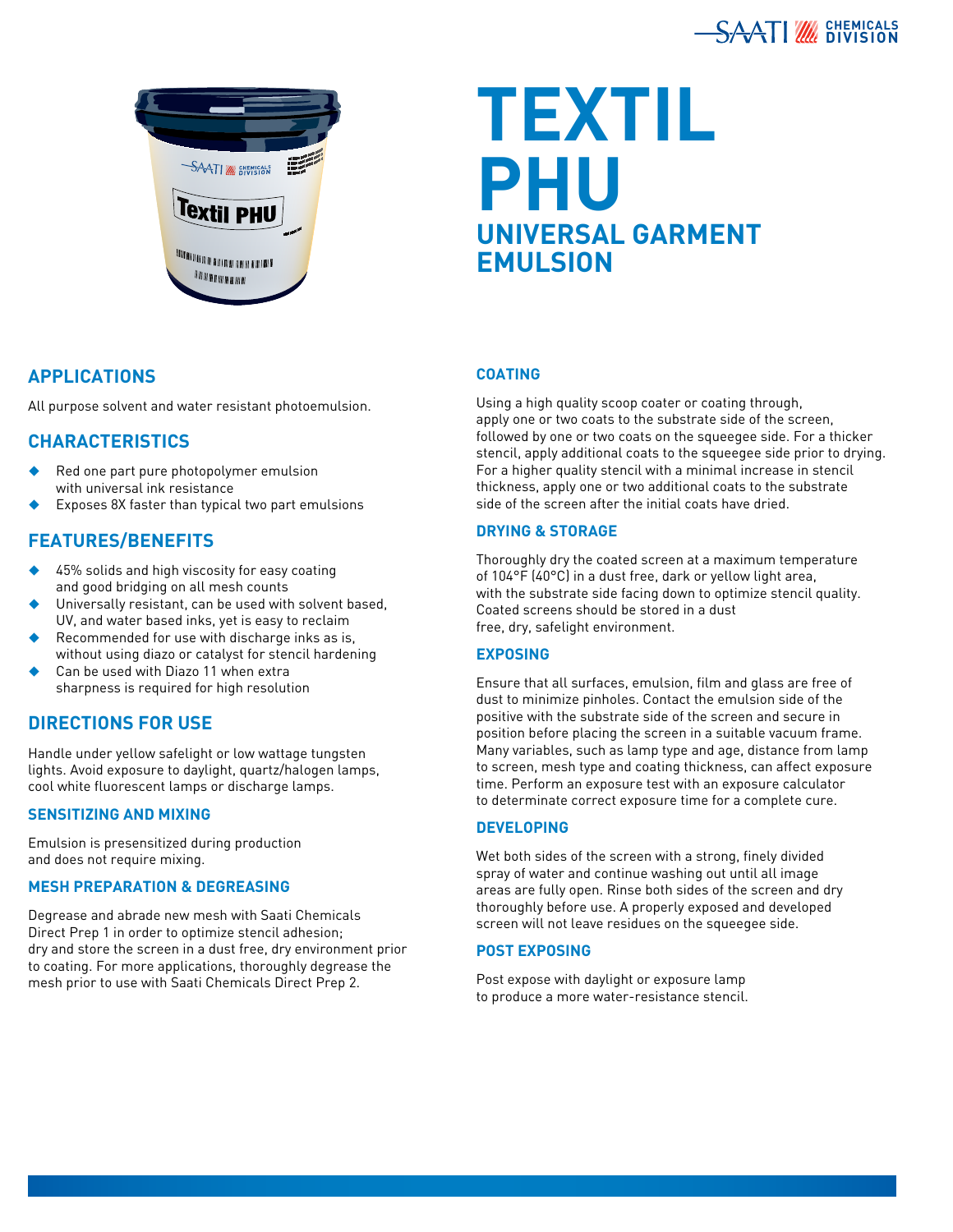



# **Textil phu universal garment emulsion**

## **Applications**

All purpose solvent and water resistant photoemulsion.

## **Characteristics**

- Red one part pure photopolymer emulsion with universal ink resistance
- Exposes 8X faster than typical two part emulsions

## **features/benefits**

- 45% solids and high viscosity for easy coating and good bridging on all mesh counts
- Universally resistant, can be used with solvent based, UV, and water based inks, yet is easy to reclaim
- Recommended for use with discharge inks as is, without using diazo or catalyst for stencil hardening
- Can be used with Diazo 11 when extra sharpness is required for high resolution

## **Directions for Use**

Handle under yellow safelight or low wattage tungsten lights. Avoid exposure to daylight, quartz/halogen lamps, cool white fluorescent lamps or discharge lamps.

### **sensitizing and mixing**

Emulsion is presensitized during production and does not require mixing.

### **Mesh Preparation & Degreasing**

Degrease and abrade new mesh with Saati Chemicals Direct Prep 1 in order to optimize stencil adhesion; dry and store the screen in a dust free, dry environment prior to coating. For more applications, thoroughly degrease the mesh prior to use with Saati Chemicals Direct Prep 2.

### **Coating**

Using a high quality scoop coater or coating through, apply one or two coats to the substrate side of the screen, followed by one or two coats on the squeegee side. For a thicker stencil, apply additional coats to the squeegee side prior to drying. For a higher quality stencil with a minimal increase in stencil thickness, apply one or two additional coats to the substrate side of the screen after the initial coats have dried.

### **Drying & Storage**

Thoroughly dry the coated screen at a maximum temperature of 104°F (40°C) in a dust free, dark or yellow light area, with the substrate side facing down to optimize stencil quality. Coated screens should be stored in a dust free, dry, safelight environment.

### **Exposing**

Ensure that all surfaces, emulsion, film and glass are free of dust to minimize pinholes. Contact the emulsion side of the positive with the substrate side of the screen and secure in position before placing the screen in a suitable vacuum frame. Many variables, such as lamp type and age, distance from lamp to screen, mesh type and coating thickness, can affect exposure time. Perform an exposure test with an exposure calculator to determinate correct exposure time for a complete cure.

### **Developing**

Wet both sides of the screen with a strong, finely divided spray of water and continue washing out until all image areas are fully open. Rinse both sides of the screen and dry thoroughly before use. A properly exposed and developed screen will not leave residues on the squeegee side.

### **post exposing**

Post expose with daylight or exposure lamp to produce a more water-resistance stencil.